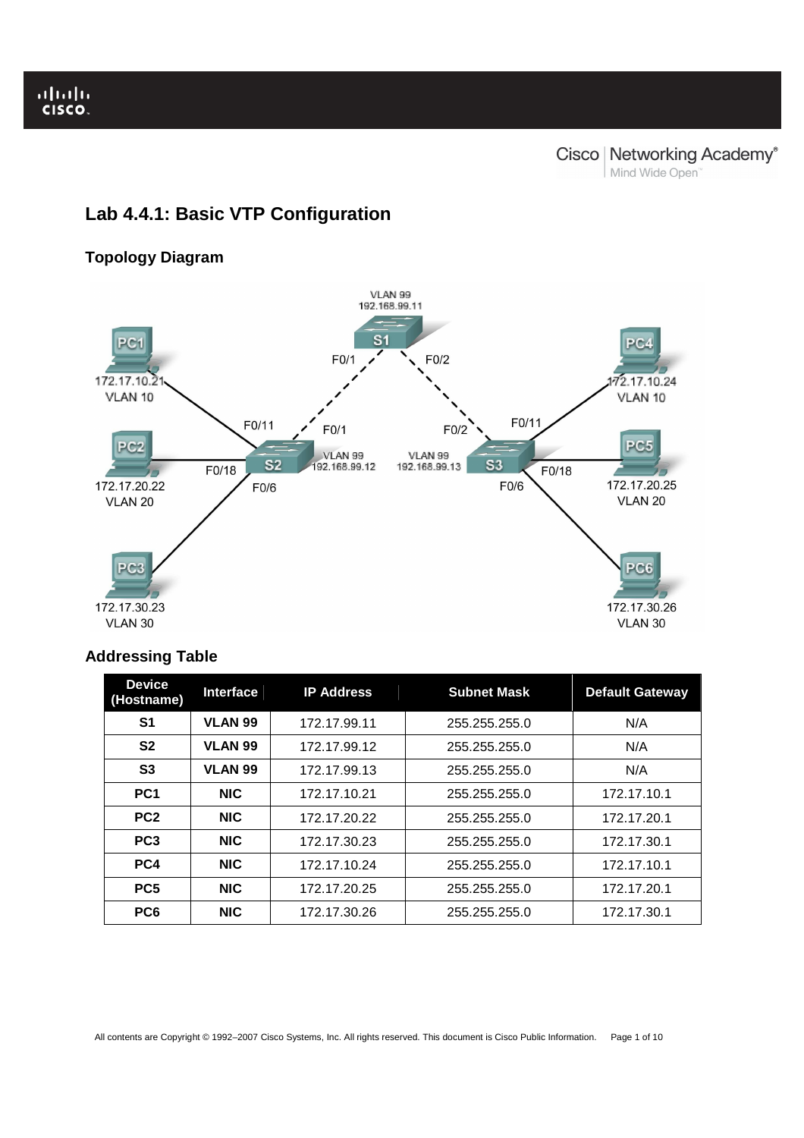# **Lab 4.4.1: Basic VTP Configuration**

# **Topology Diagram**



# **Addressing Table**

| <b>Device</b><br>(Hostname) | <b>Interface</b> | <b>IP Address</b> | <b>Subnet Mask</b> | <b>Default Gateway</b> |
|-----------------------------|------------------|-------------------|--------------------|------------------------|
| S <sub>1</sub>              | <b>VLAN 99</b>   | 172.17.99.11      | 255.255.255.0      | N/A                    |
| S <sub>2</sub>              | <b>VLAN 99</b>   | 172.17.99.12      | 255.255.255.0      | N/A                    |
| S <sub>3</sub>              | <b>VLAN 99</b>   | 172.17.99.13      | 255.255.255.0      | N/A                    |
| PC <sub>1</sub>             | <b>NIC</b>       | 172.17.10.21      | 255.255.255.0      | 172.17.10.1            |
| PC <sub>2</sub>             | <b>NIC</b>       | 172.17.20.22      | 255.255.255.0      | 172.17.20.1            |
| PC <sub>3</sub>             | <b>NIC</b>       | 172.17.30.23      | 255.255.255.0      | 172.17.30.1            |
| PC4                         | <b>NIC</b>       | 172.17.10.24      | 255.255.255.0      | 172.17.10.1            |
| PC <sub>5</sub>             | <b>NIC</b>       | 172.17.20.25      | 255.255.255.0      | 172.17.20.1            |
| PC <sub>6</sub>             | <b>NIC</b>       | 172.17.30.26      | 255.255.255.0      | 172.17.30.1            |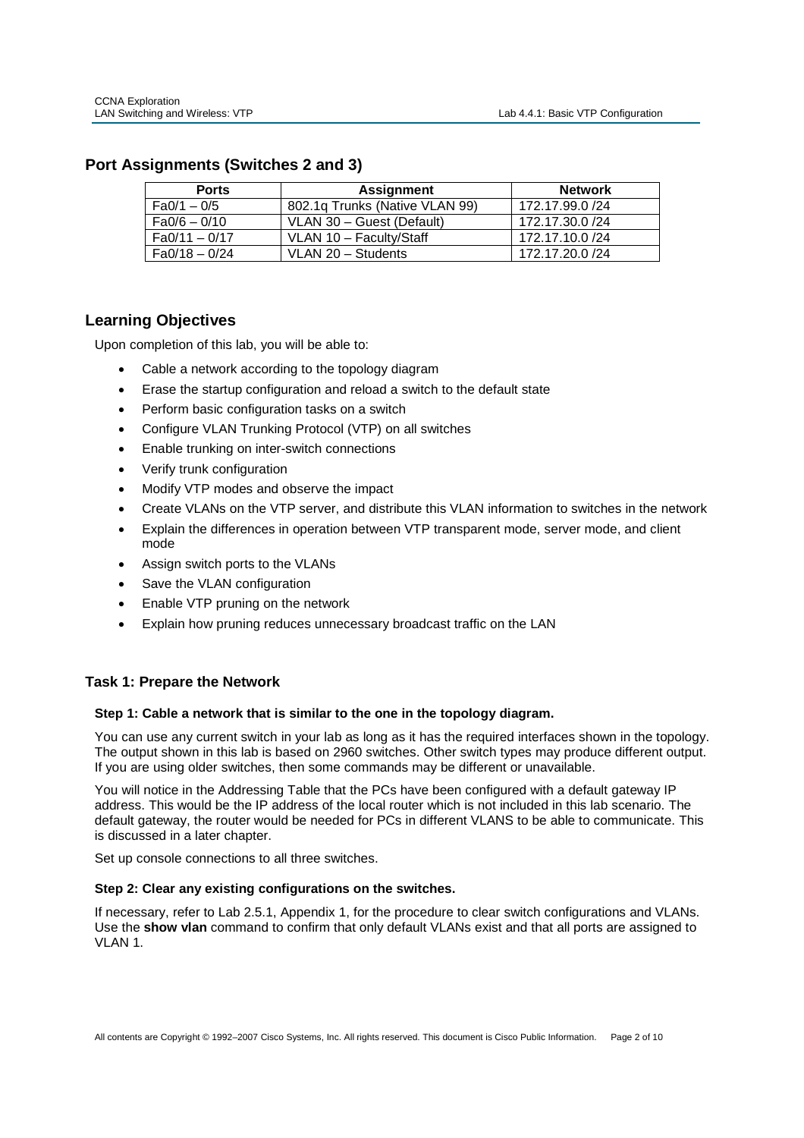# **Port Assignments (Switches 2 and 3)**

| <b>Ports</b>    | <b>Assignment</b>             | <b>Network</b>  |  |  |
|-----------------|-------------------------------|-----------------|--|--|
| $Fa0/1 - 0/5$   | 802.1 Trunks (Native VLAN 99) | 172.17.99.0 /24 |  |  |
| $Fa0/6 - 0/10$  | VLAN 30 - Guest (Default)     | 172.17.30.0/24  |  |  |
| $Fa0/11 - 0/17$ | VLAN 10 - Faculty/Staff       | 172.17.10.0 /24 |  |  |
| $Fa0/18-0/24$   | VLAN 20 - Students            | 172.17.20.0/24  |  |  |

# **Learning Objectives**

Upon completion of this lab, you will be able to:

- Cable a network according to the topology diagram
- Erase the startup configuration and reload a switch to the default state
- Perform basic configuration tasks on a switch
- Configure VLAN Trunking Protocol (VTP) on all switches
- Enable trunking on inter-switch connections
- Verify trunk configuration
- Modify VTP modes and observe the impact
- Create VLANs on the VTP server, and distribute this VLAN information to switches in the network
- Explain the differences in operation between VTP transparent mode, server mode, and client mode
- Assign switch ports to the VLANs
- Save the VLAN configuration
- Enable VTP pruning on the network
- Explain how pruning reduces unnecessary broadcast traffic on the LAN

# **Task 1: Prepare the Network**

# **Step 1: Cable a network that is similar to the one in the topology diagram.**

You can use any current switch in your lab as long as it has the required interfaces shown in the topology. The output shown in this lab is based on 2960 switches. Other switch types may produce different output. If you are using older switches, then some commands may be different or unavailable.

You will notice in the Addressing Table that the PCs have been configured with a default gateway IP address. This would be the IP address of the local router which is not included in this lab scenario. The default gateway, the router would be needed for PCs in different VLANS to be able to communicate. This is discussed in a later chapter.

Set up console connections to all three switches.

# **Step 2: Clear any existing configurations on the switches.**

If necessary, refer to Lab 2.5.1, Appendix 1, for the procedure to clear switch configurations and VLANs. Use the **show vlan** command to confirm that only default VLANs exist and that all ports are assigned to VLAN<sub>1</sub>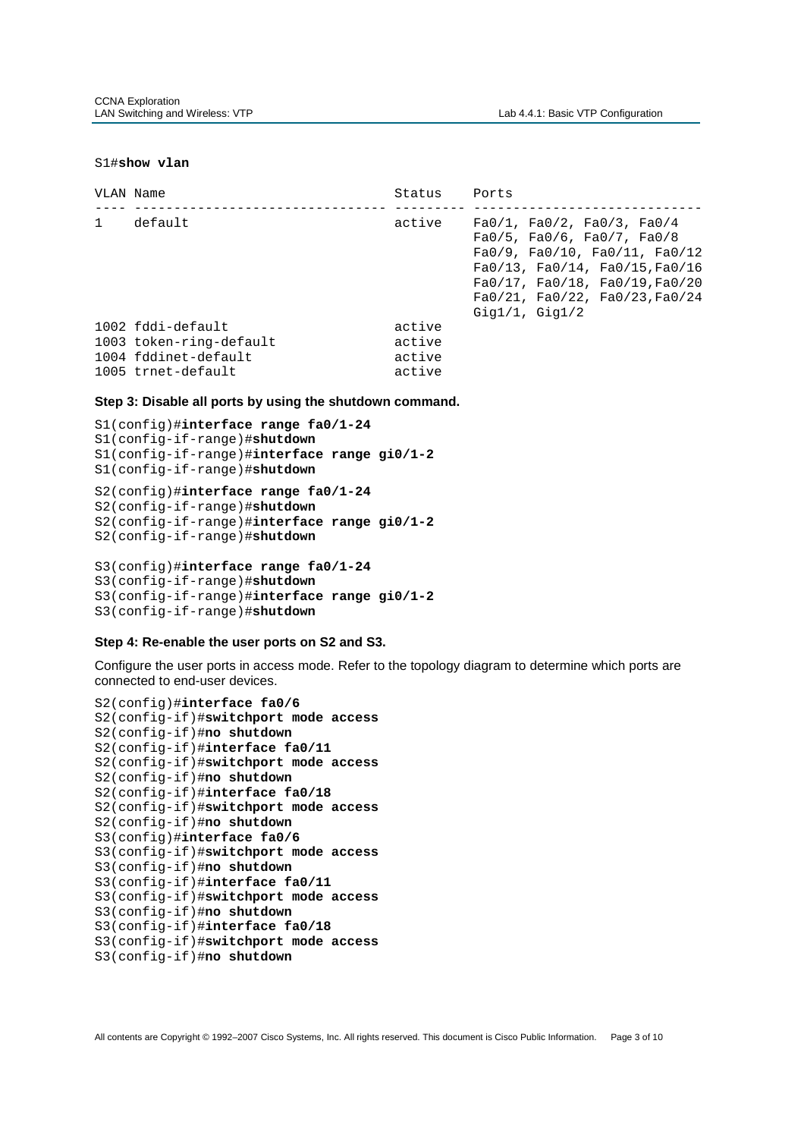#### S1#**show vlan**

Ī

| VLAN Name    |                                                                                            | Status                               | Ports                                                                                                                                                                                                                                                                    |
|--------------|--------------------------------------------------------------------------------------------|--------------------------------------|--------------------------------------------------------------------------------------------------------------------------------------------------------------------------------------------------------------------------------------------------------------------------|
| $\mathbf{1}$ | default                                                                                    | active                               | $Fa0/1$ , $Fa0/2$ , $Fa0/3$ , $Fa0/4$<br>Fa0/5, Fa0/6, Fa0/7, Fa0/8<br>$Fa0/9$ , $Fa0/10$ , $Fa0/11$ , $Fa0/12$<br>$Fa0/13$ , $Fa0/14$ , $Fa0/15$ , $Fa0/16$<br>$Fa0/17$ , $Fa0/18$ , $Fa0/19$ , $Fa0/20$<br>$Fa0/21$ , $Fa0/22$ , $Fa0/23$ , $Fa0/24$<br>Giq1/1, Giq1/2 |
|              | 1002 fddi-default<br>1003 token-ring-default<br>1004 fddinet-default<br>1005 trnet-default | active<br>active<br>active<br>active |                                                                                                                                                                                                                                                                          |

#### **Step 3: Disable all ports by using the shutdown command.**

S1(config)#**interface range fa0/1-24** S1(config-if-range)#**shutdown** S1(config-if-range)#**interface range gi0/1-2**  S1(config-if-range)#**shutdown**

S2(config)#**interface range fa0/1-24** S2(config-if-range)#**shutdown** S2(config-if-range)#**interface range gi0/1-2** S2(config-if-range)#**shutdown** 

```
S3(config)#interface range fa0/1-24
S3(config-if-range)#shutdown
S3(config-if-range)#interface range gi0/1-2
S3(config-if-range)#shutdown
```
### **Step 4: Re-enable the user ports on S2 and S3.**

Configure the user ports in access mode. Refer to the topology diagram to determine which ports are connected to end-user devices.

```
S2(config)#interface fa0/6
S2(config-if)#switchport mode access
S2(config-if)#no shutdown
S2(config-if)#interface fa0/11
S2(config-if)#switchport mode access
S2(config-if)#no shutdown
S2(config-if)#interface fa0/18
S2(config-if)#switchport mode access
S2(config-if)#no shutdown
S3(config)#interface fa0/6
S3(config-if)#switchport mode access
S3(config-if)#no shutdown
S3(config-if)#interface fa0/11
S3(config-if)#switchport mode access
S3(config-if)#no shutdown
S3(config-if)#interface fa0/18
S3(config-if)#switchport mode access
S3(config-if)#no shutdown
```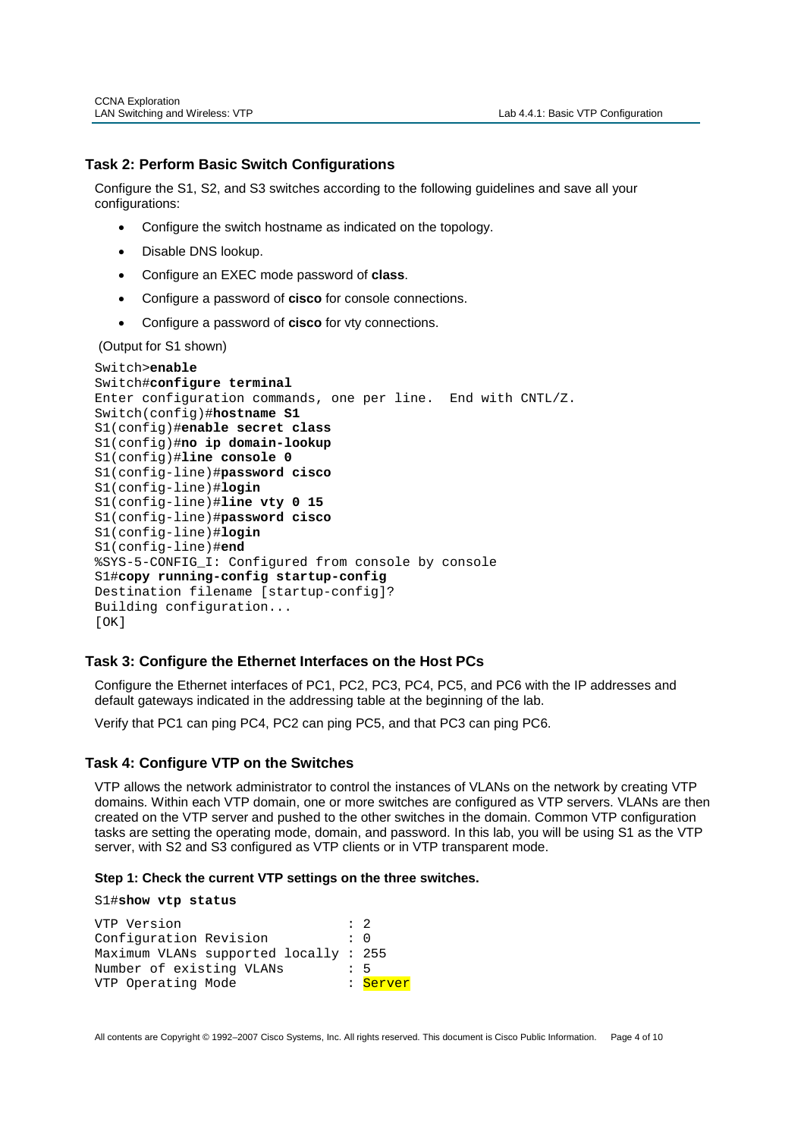# **Task 2: Perform Basic Switch Configurations**

Configure the S1, S2, and S3 switches according to the following guidelines and save all your configurations:

- Configure the switch hostname as indicated on the topology.
- Disable DNS lookup.
- Configure an EXEC mode password of **class**.
- Configure a password of **cisco** for console connections.
- Configure a password of **cisco** for vty connections.

(Output for S1 shown)

```
Switch>enable
Switch#configure terminal
Enter configuration commands, one per line. End with CNTL/Z. 
Switch(config)#hostname S1
S1(config)#enable secret class
S1(config)#no ip domain-lookup 
S1(config)#line console 0
S1(config-line)#password cisco
S1(config-line)#login
S1(config-line)#line vty 0 15
S1(config-line)#password cisco
S1(config-line)#login
S1(config-line)#end
%SYS-5-CONFIG_I: Configured from console by console
S1#copy running-config startup-config 
Destination filename [startup-config]? 
Building configuration... 
[OK]
```
# **Task 3: Configure the Ethernet Interfaces on the Host PCs**

Configure the Ethernet interfaces of PC1, PC2, PC3, PC4, PC5, and PC6 with the IP addresses and default gateways indicated in the addressing table at the beginning of the lab.

Verify that PC1 can ping PC4, PC2 can ping PC5, and that PC3 can ping PC6.

# **Task 4: Configure VTP on the Switches**

VTP allows the network administrator to control the instances of VLANs on the network by creating VTP domains. Within each VTP domain, one or more switches are configured as VTP servers. VLANs are then created on the VTP server and pushed to the other switches in the domain. Common VTP configuration tasks are setting the operating mode, domain, and password. In this lab, you will be using S1 as the VTP server, with S2 and S3 configured as VTP clients or in VTP transparent mode.

# **Step 1: Check the current VTP settings on the three switches.**

S1#**show vtp status**

| VTP Version                          | $\cdot$ 2 |
|--------------------------------------|-----------|
| Configuration Revision               | $\cdot$ 0 |
| Maximum VLANs supported locally: 255 |           |
| Number of existing VLANs             | : 5       |
| VTP Operating Mode                   | : Server  |
|                                      |           |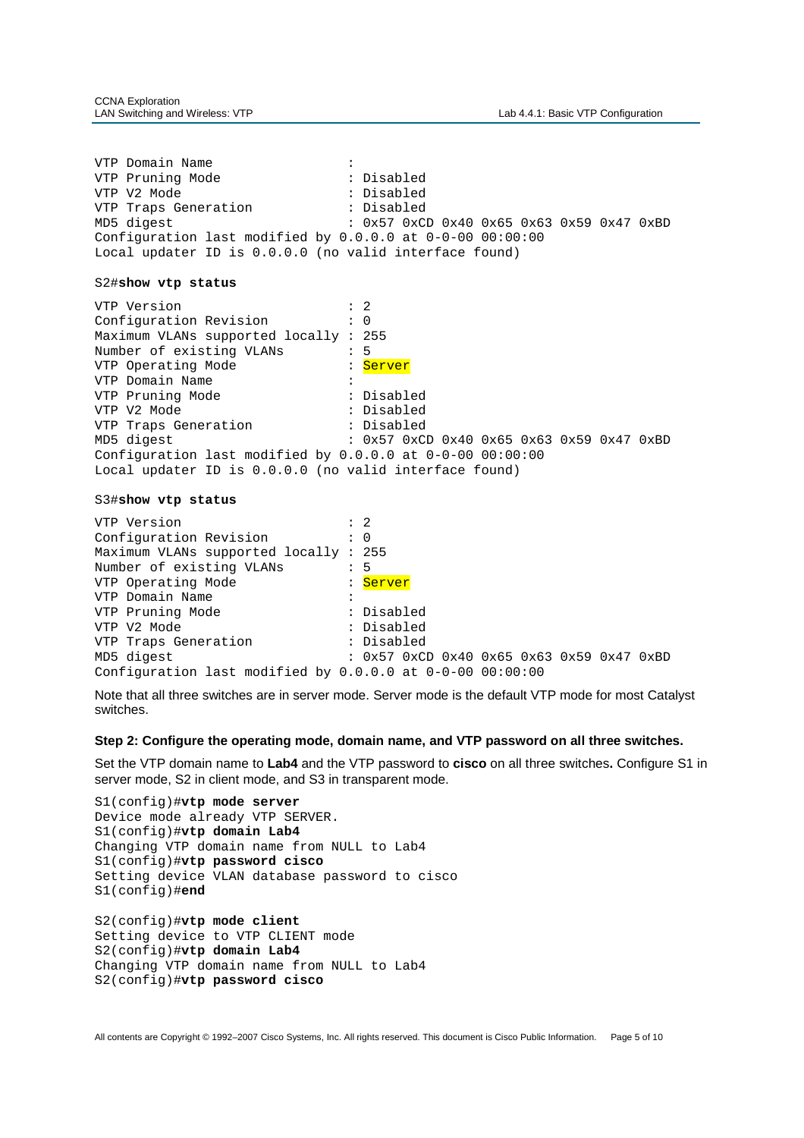VTP Domain Name : VTP Pruning Mode : Disabled VTP V2 Mode : Disabled VTP Traps Generation : Disabled MD5 digest : 0x57 0xCD 0x40 0x65 0x63 0x59 0x47 0xBD Configuration last modified by 0.0.0.0 at 0-0-00 00:00:00 Local updater ID is 0.0.0.0 (no valid interface found)

#### S2#**show vtp status**

VTP Version : 2 Configuration Revision : 0 Maximum VLANs supported locally : 255 Number of existing VLANs : 5 VTP Operating Mode : Server VTP Domain Name<br>
VTP Pruning Mode<br>
: Disabled<br>
: Disabled VTP Pruning Mode : Disabled VTP V2 Mode vTP Traps Generation : Disabled MD5 digest : 0x57 0xCD 0x40 0x65 0x63 0x59 0x47 0xBD Configuration last modified by 0.0.0.0 at 0-0-00 00:00:00 Local updater ID is 0.0.0.0 (no valid interface found)

#### S3#**show vtp status**

| VTP Version                                                     |            | $\colon$ 2                                |
|-----------------------------------------------------------------|------------|-------------------------------------------|
| Configuration Revision                                          | $\colon 0$ |                                           |
| Maximum VLANs supported locally: 255                            |            |                                           |
| Number of existing VLANs                                        |            | $5^{\circ}$                               |
| VTP Operating Mode                                              |            | : Server                                  |
| VTP Domain Name                                                 |            |                                           |
| VTP Pruning Mode                                                |            | : Disabled                                |
| VTP V2 Mode                                                     |            | : Disabled                                |
| VTP Traps Generation                                            |            | : Disabled                                |
| MD5 digest                                                      |            | : 0x57 0xCD 0x40 0x65 0x63 0x59 0x47 0xBD |
| Configuration last modified by $0.0.0.0$ at $0-0-00$ $00:00:00$ |            |                                           |

Note that all three switches are in server mode. Server mode is the default VTP mode for most Catalyst switches.

### **Step 2: Configure the operating mode, domain name, and VTP password on all three switches.**

Set the VTP domain name to **Lab4** and the VTP password to **cisco** on all three switches**.** Configure S1 in server mode, S2 in client mode, and S3 in transparent mode.

S1(config)#**vtp mode server** Device mode already VTP SERVER. S1(config)#**vtp domain Lab4** Changing VTP domain name from NULL to Lab4 S1(config)#**vtp password cisco** Setting device VLAN database password to cisco S1(config)#**end**

S2(config)#**vtp mode client** Setting device to VTP CLIENT mode S2(config)#**vtp domain Lab4** Changing VTP domain name from NULL to Lab4 S2(config)#**vtp password cisco**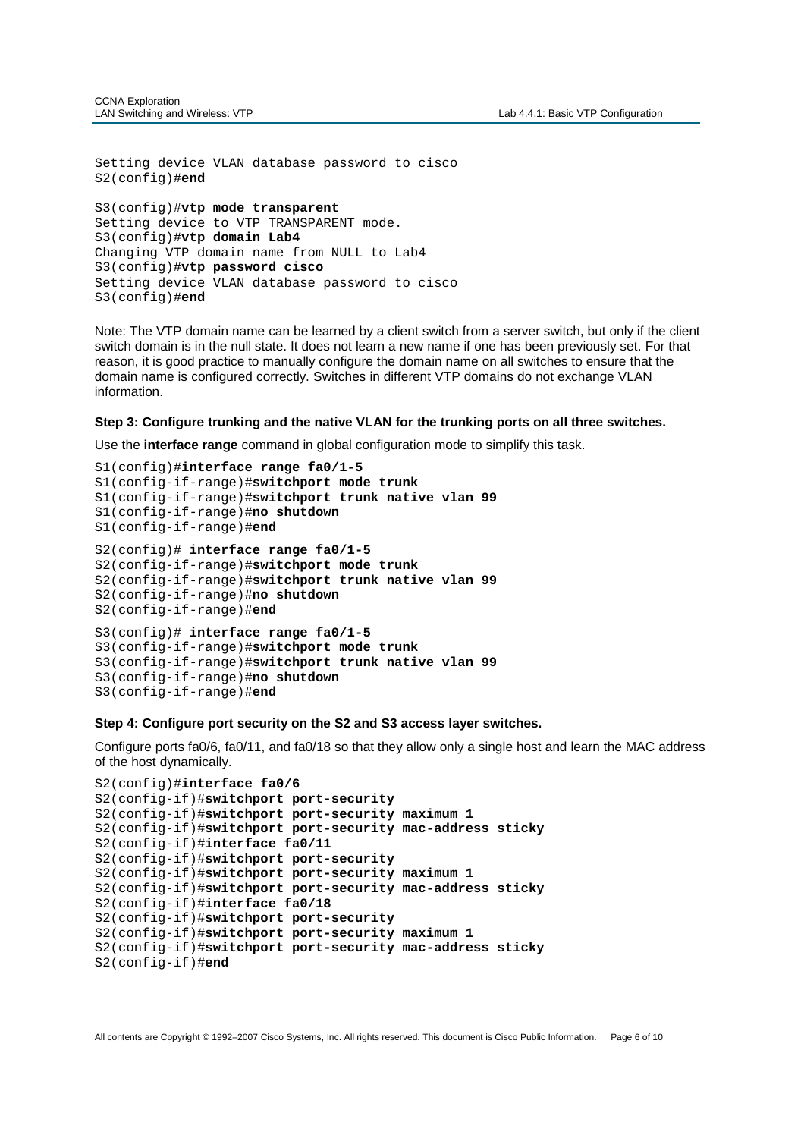Setting device VLAN database password to cisco S2(config)#**end**

S3(config)#**vtp mode transparent** Setting device to VTP TRANSPARENT mode. S3(config)#**vtp domain Lab4** Changing VTP domain name from NULL to Lab4 S3(config)#**vtp password cisco** Setting device VLAN database password to cisco S3(config)#**end**

Note: The VTP domain name can be learned by a client switch from a server switch, but only if the client switch domain is in the null state. It does not learn a new name if one has been previously set. For that reason, it is good practice to manually configure the domain name on all switches to ensure that the domain name is configured correctly. Switches in different VTP domains do not exchange VLAN information.

# **Step 3: Configure trunking and the native VLAN for the trunking ports on all three switches.**

Use the **interface range** command in global configuration mode to simplify this task.

```
S1(config)#interface range fa0/1-5 
S1(config-if-range)#switchport mode trunk
S1(config-if-range)#switchport trunk native vlan 99
S1(config-if-range)#no shutdown
S1(config-if-range)#end
S2(config)# interface range fa0/1-5 
S2(config-if-range)#switchport mode trunk 
S2(config-if-range)#switchport trunk native vlan 99
S2(config-if-range)#no shutdown
S2(config-if-range)#end
S3(config)# interface range fa0/1-5 
S3(config-if-range)#switchport mode trunk 
S3(config-if-range)#switchport trunk native vlan 99
S3(config-if-range)#no shutdown
S3(config-if-range)#end
```
### **Step 4: Configure port security on the S2 and S3 access layer switches.**

Configure ports fa0/6, fa0/11, and fa0/18 so that they allow only a single host and learn the MAC address of the host dynamically.

```
S2(config)#interface fa0/6
S2(config-if)#switchport port-security 
S2(config-if)#switchport port-security maximum 1
S2(config-if)#switchport port-security mac-address sticky 
S2(config-if)#interface fa0/11 
S2(config-if)#switchport port-security 
S2(config-if)#switchport port-security maximum 1
S2(config-if)#switchport port-security mac-address sticky 
S2(config-if)#interface fa0/18 
S2(config-if)#switchport port-security 
S2(config-if)#switchport port-security maximum 1
S2(config-if)#switchport port-security mac-address sticky 
S2(config-if)#end
```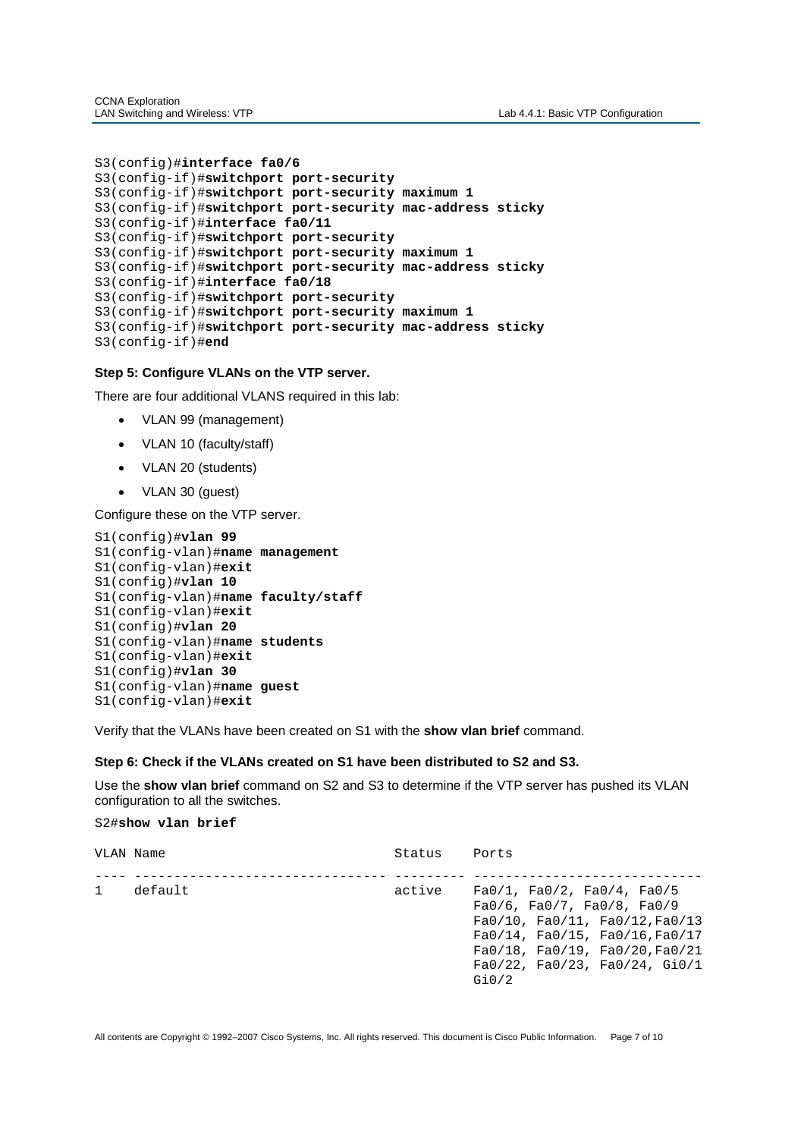```
S3(config)#interface fa0/6
S3(config-if)#switchport port-security 
S3(config-if)#switchport port-security maximum 1
S3(config-if)#switchport port-security mac-address sticky 
S3(config-if)#interface fa0/11 
S3(config-if)#switchport port-security 
S3(config-if)#switchport port-security maximum 1
S3(config-if)#switchport port-security mac-address sticky 
S3(config-if)#interface fa0/18 
S3(config-if)#switchport port-security 
S3(config-if)#switchport port-security maximum 1
S3(config-if)#switchport port-security mac-address sticky 
S3(config-if)#end
```
# **Step 5: Configure VLANs on the VTP server.**

There are four additional VLANS required in this lab:

- VLAN 99 (management)
- VLAN 10 (faculty/staff)
- VLAN 20 (students)
- VLAN 30 (guest)

Configure these on the VTP server.

```
S1(config)#vlan 99
S1(config-vlan)#name management
S1(config-vlan)#exit
S1(config)#vlan 10
S1(config-vlan)#name faculty/staff
S1(config-vlan)#exit
S1(config)#vlan 20 
S1(config-vlan)#name students
S1(config-vlan)#exit
S1(config)#vlan 30
S1(config-vlan)#name guest
S1(config-vlan)#exit
```
Verify that the VLANs have been created on S1 with the **show vlan brief** command.

# **Step 6: Check if the VLANs created on S1 have been distributed to S2 and S3.**

Use the **show vlan brief** command on S2 and S3 to determine if the VTP server has pushed its VLAN configuration to all the switches.

```
S2#show vlan brief
```

| active<br>default<br>Fa0/1, Fa0/2, Fa0/4, Fa0/5<br>$Fa0/6$ , $Fa0/7$ , $Fa0/8$ , $Fa0/9$<br>Gi0/2 | VLAN Name | Status | Ports                                                                                                                                                                           |
|---------------------------------------------------------------------------------------------------|-----------|--------|---------------------------------------------------------------------------------------------------------------------------------------------------------------------------------|
|                                                                                                   |           |        | $Fa0/10$ , $Fa0/11$ , $Fa0/12$ , $Fa0/13$<br>$Fa0/14$ , $Fa0/15$ , $Fa0/16$ , $Fa0/17$<br>$Fa0/18$ , $Fa0/19$ , $Fa0/20$ , $Fa0/21$<br>$Fa0/22$ , $Fa0/23$ , $Fa0/24$ , $Gi0/1$ |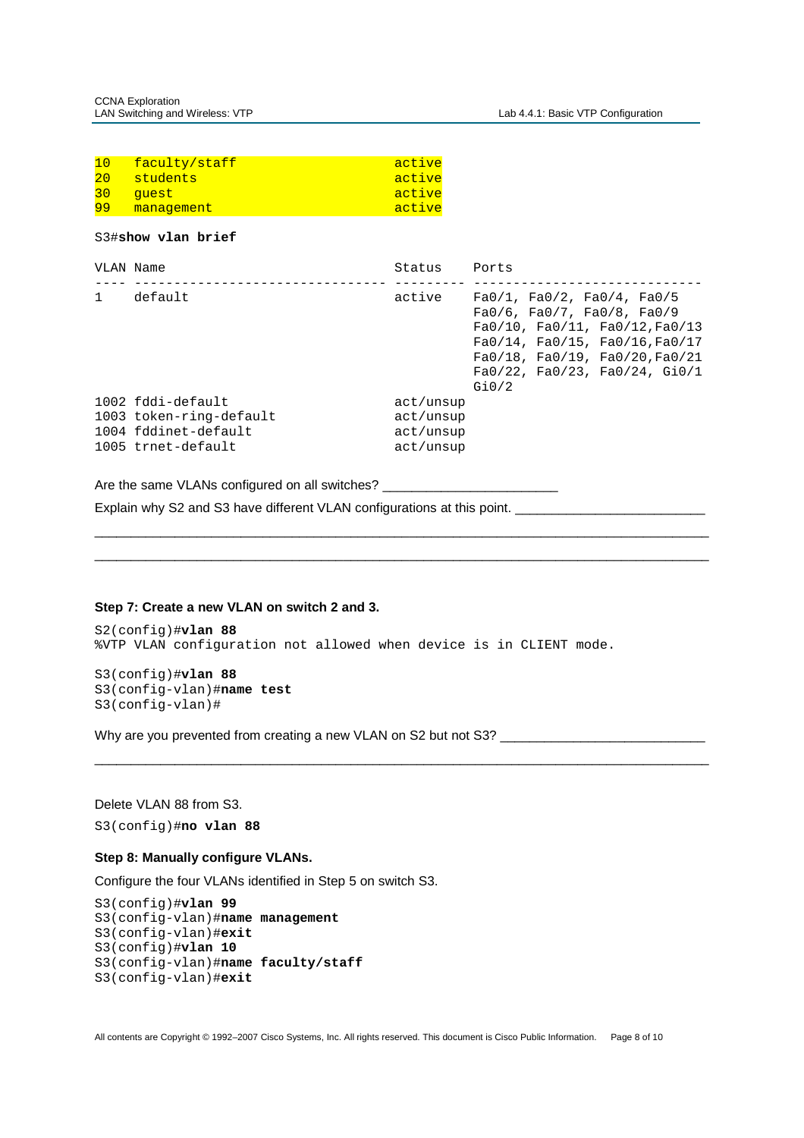| 10        | faculty/staff | active |
|-----------|---------------|--------|
| <b>20</b> | students      | active |
| 30        | quest         | active |
| 99        | management    | active |

#### S3#**show vlan brief**

| VLAN Name    |                                                                                            | Status                                           | Ports                                                                                                                                                                                                                                                           |
|--------------|--------------------------------------------------------------------------------------------|--------------------------------------------------|-----------------------------------------------------------------------------------------------------------------------------------------------------------------------------------------------------------------------------------------------------------------|
| $\mathbf{1}$ | default                                                                                    | active                                           | Fa0/1, Fa0/2, Fa0/4, Fa0/5<br>$Fa0/6$ , $Fa0/7$ , $Fa0/8$ , $Fa0/9$<br>$Fa0/10$ , $Fa0/11$ , $Fa0/12$ , $Fa0/13$<br>$Fa0/14$ , $Fa0/15$ , $Fa0/16$ , $Fa0/17$<br>$Fa0/18$ , $Fa0/19$ , $Fa0/20$ , $Fa0/21$<br>$Fa0/22$ , $Fa0/23$ , $Fa0/24$ , $Gi0/1$<br>Gi0/2 |
|              | 1002 fddi-default<br>1003 token-ring-default<br>1004 fddinet-default<br>1005 trnet-default | act/unsup<br>act/unsup<br>act/unsup<br>act/unsup |                                                                                                                                                                                                                                                                 |

\_\_\_\_\_\_\_\_\_\_\_\_\_\_\_\_\_\_\_\_\_\_\_\_\_\_\_\_\_\_\_\_\_\_\_\_\_\_\_\_\_\_\_\_\_\_\_\_\_\_\_\_\_\_\_\_\_\_\_\_\_\_\_\_\_\_\_\_\_\_\_\_\_\_\_\_\_\_\_\_\_\_\_\_ \_\_\_\_\_\_\_\_\_\_\_\_\_\_\_\_\_\_\_\_\_\_\_\_\_\_\_\_\_\_\_\_\_\_\_\_\_\_\_\_\_\_\_\_\_\_\_\_\_\_\_\_\_\_\_\_\_\_\_\_\_\_\_\_\_\_\_\_\_\_\_\_\_\_\_\_\_\_\_\_\_\_\_\_

\_\_\_\_\_\_\_\_\_\_\_\_\_\_\_\_\_\_\_\_\_\_\_\_\_\_\_\_\_\_\_\_\_\_\_\_\_\_\_\_\_\_\_\_\_\_\_\_\_\_\_\_\_\_\_\_\_\_\_\_\_\_\_\_\_\_\_\_\_\_\_\_\_\_\_\_\_\_\_\_\_\_\_\_

Are the same VLANs configured on all switches? \_\_\_\_\_\_\_\_\_\_\_\_\_\_\_\_\_\_\_\_\_\_\_\_\_\_\_\_\_\_\_\_\_

Explain why S2 and S3 have different VLAN configurations at this point.

# **Step 7: Create a new VLAN on switch 2 and 3.**

S2(config)#**vlan 88** %VTP VLAN configuration not allowed when device is in CLIENT mode.

S3(config)#**vlan 88** S3(config-vlan)#**name test** S3(config-vlan)#

Why are you prevented from creating a new VLAN on S2 but not S3?

### Delete VLAN 88 from S3.

S3(config)#**no vlan 88** 

## **Step 8: Manually configure VLANs.**

Configure the four VLANs identified in Step 5 on switch S3.

S3(config)#**vlan 99** S3(config-vlan)#**name management** S3(config-vlan)#**exit** S3(config)#**vlan 10** S3(config-vlan)#**name faculty/staff** S3(config-vlan)#**exit**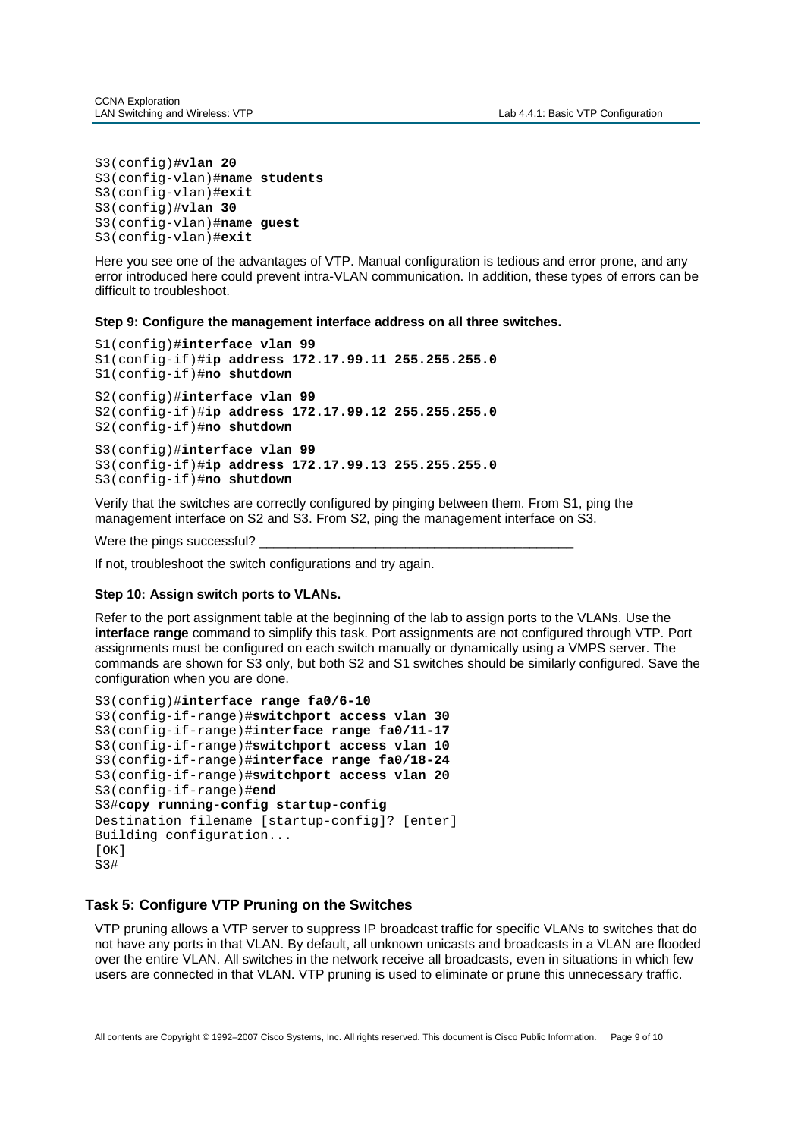```
S3(config)#vlan 20 
S3(config-vlan)#name students
S3(config-vlan)#exit
S3(config)#vlan 30
S3(config-vlan)#name guest
S3(config-vlan)#exit
```
Here you see one of the advantages of VTP. Manual configuration is tedious and error prone, and any error introduced here could prevent intra-VLAN communication. In addition, these types of errors can be difficult to troubleshoot.

**Step 9: Configure the management interface address on all three switches.** 

```
S1(config)#interface vlan 99
S1(config-if)#ip address 172.17.99.11 255.255.255.0 
S1(config-if)#no shutdown
S2(config)#interface vlan 99
S2(config-if)#ip address 172.17.99.12 255.255.255.0 
S2(config-if)#no shutdown
S3(config)#interface vlan 99
S3(config-if)#ip address 172.17.99.13 255.255.255.0 
S3(config-if)#no shutdown
```
Verify that the switches are correctly configured by pinging between them. From S1, ping the management interface on S2 and S3. From S2, ping the management interface on S3.

Were the pings successful?

If not, troubleshoot the switch configurations and try again.

### **Step 10: Assign switch ports to VLANs.**

Refer to the port assignment table at the beginning of the lab to assign ports to the VLANs. Use the **interface range** command to simplify this task. Port assignments are not configured through VTP. Port assignments must be configured on each switch manually or dynamically using a VMPS server. The commands are shown for S3 only, but both S2 and S1 switches should be similarly configured. Save the configuration when you are done.

```
S3(config)#interface range fa0/6-10
S3(config-if-range)#switchport access vlan 30
S3(config-if-range)#interface range fa0/11-17
S3(config-if-range)#switchport access vlan 10
S3(config-if-range)#interface range fa0/18-24
S3(config-if-range)#switchport access vlan 20
S3(config-if-range)#end
S3#copy running-config startup-config
Destination filename [startup-config]? [enter] 
Building configuration... 
[OK]
S3#
```
### **Task 5: Configure VTP Pruning on the Switches**

VTP pruning allows a VTP server to suppress IP broadcast traffic for specific VLANs to switches that do not have any ports in that VLAN. By default, all unknown unicasts and broadcasts in a VLAN are flooded over the entire VLAN. All switches in the network receive all broadcasts, even in situations in which few users are connected in that VLAN. VTP pruning is used to eliminate or prune this unnecessary traffic.